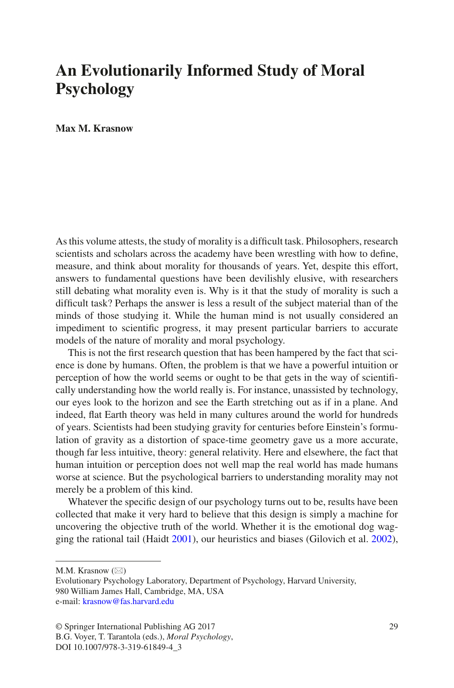# **An Evolutionarily Informed Study of Moral Psychology**

**Max M. Krasnow**

As this volume attests, the study of morality is a diffcult task. Philosophers, research scientists and scholars across the academy have been wrestling with how to defne, measure, and think about morality for thousands of years. Yet, despite this effort, answers to fundamental questions have been devilishly elusive, with researchers still debating what morality even is. Why is it that the study of morality is such a diffcult task? Perhaps the answer is less a result of the subject material than of the minds of those studying it. While the human mind is not usually considered an impediment to scientifc progress, it may present particular barriers to accurate models of the nature of morality and moral psychology.

This is not the frst research question that has been hampered by the fact that science is done by humans. Often, the problem is that we have a powerful intuition or perception of how the world seems or ought to be that gets in the way of scientifcally understanding how the world really is. For instance, unassisted by technology, our eyes look to the horizon and see the Earth stretching out as if in a plane. And indeed, fat Earth theory was held in many cultures around the world for hundreds of years. Scientists had been studying gravity for centuries before Einstein's formulation of gravity as a distortion of space-time geometry gave us a more accurate, though far less intuitive, theory: general relativity. Here and elsewhere, the fact that human intuition or perception does not well map the real world has made humans worse at science. But the psychological barriers to understanding morality may not merely be a problem of this kind.

Whatever the specifc design of our psychology turns out to be, results have been collected that make it very hard to believe that this design is simply a machine for uncovering the objective truth of the world. Whether it is the emotional dog wagging the rational tail (Haidt 2001), our heuristics and biases (Gilovich et al. 2002),

B.G. Voyer, T. Tarantola (eds.), *Moral Psychology*, DOI 10.1007/978-3-319-61849-4\_3

M.M. Krasnow  $(\boxtimes)$ 

Evolutionary Psychology Laboratory, Department of Psychology, Harvard University, 980 William James Hall, Cambridge, MA, USA e-mail: [krasnow@fas.harvard.edu](mailto:krasnow@fas.harvard.edu)

<sup>©</sup> Springer International Publishing AG 2017 29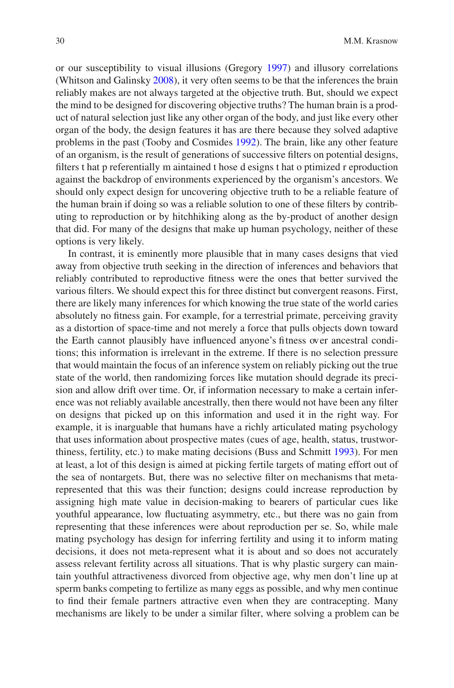or our susceptibility to visual illusions (Gregory 1997) and illusory correlations (Whitson and Galinsky 2008), it very often seems to be that the inferences the brain reliably makes are not always targeted at the objective truth. But, should we expect the mind to be designed for discovering objective truths? The human brain is a product of natural selection just like any other organ of the body, and just like every other organ of the body, the design features it has are there because they solved adaptive problems in the past (Tooby and Cosmides 1992). The brain, like any other feature of an organism, is the result of generations of successive flters on potential designs, flters t hat p referentially m aintained t hose d esigns t hat o ptimized r eproduction against the backdrop of environments experienced by the organism's ancestors. We should only expect design for uncovering objective truth to be a reliable feature of the human brain if doing so was a reliable solution to one of these flters by contributing to reproduction or by hitchhiking along as the by-product of another design that did. For many of the designs that make up human psychology, neither of these options is very likely.

In contrast, it is eminently more plausible that in many cases designs that vied away from objective truth seeking in the direction of inferences and behaviors that reliably contributed to reproductive ftness were the ones that better survived the various flters. We should expect this for three distinct but convergent reasons. First, there are likely many inferences for which knowing the true state of the world caries absolutely no ftness gain. For example, for a terrestrial primate, perceiving gravity as a distortion of space-time and not merely a force that pulls objects down toward the Earth cannot plausibly have infuenced anyone's ftness over ancestral conditions; this information is irrelevant in the extreme. If there is no selection pressure that would maintain the focus of an inference system on reliably picking out the true state of the world, then randomizing forces like mutation should degrade its precision and allow drift over time. Or, if information necessary to make a certain inference was not reliably available ancestrally, then there would not have been any flter on designs that picked up on this information and used it in the right way. For example, it is inarguable that humans have a richly articulated mating psychology that uses information about prospective mates (cues of age, health, status, trustworthiness, fertility, etc.) to make mating decisions (Buss and Schmitt 1993). For men at least, a lot of this design is aimed at picking fertile targets of mating effort out of the sea of nontargets. But, there was no selective flter on mechanisms that metarepresented that this was their function; designs could increase reproduction by assigning high mate value in decision-making to bearers of particular cues like youthful appearance, low fuctuating asymmetry, etc., but there was no gain from representing that these inferences were about reproduction per se. So, while male mating psychology has design for inferring fertility and using it to inform mating decisions, it does not meta-represent what it is about and so does not accurately assess relevant fertility across all situations. That is why plastic surgery can maintain youthful attractiveness divorced from objective age, why men don't line up at sperm banks competing to fertilize as many eggs as possible, and why men continue to fnd their female partners attractive even when they are contracepting. Many mechanisms are likely to be under a similar filter, where solving a problem can be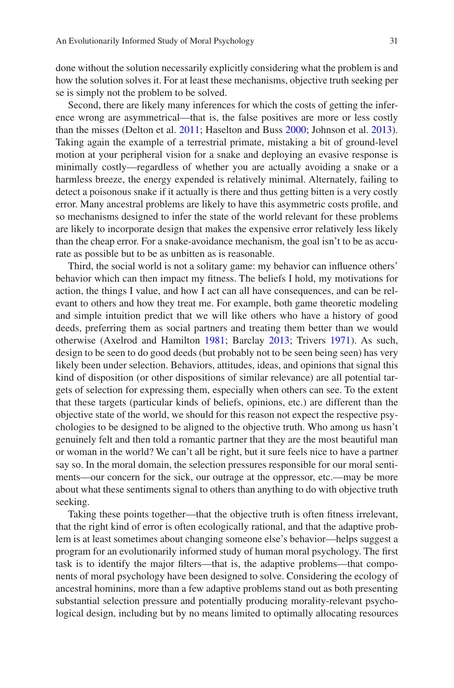done without the solution necessarily explicitly considering what the problem is and how the solution solves it. For at least these mechanisms, objective truth seeking per se is simply not the problem to be solved.

Second, there are likely many inferences for which the costs of getting the inference wrong are asymmetrical—that is, the false positives are more or less costly than the misses (Delton et al. 2011; Haselton and Buss 2000; Johnson et al. 2013). Taking again the example of a terrestrial primate, mistaking a bit of ground-level motion at your peripheral vision for a snake and deploying an evasive response is minimally costly—regardless of whether you are actually avoiding a snake or a harmless breeze, the energy expended is relatively minimal. Alternately, failing to detect a poisonous snake if it actually is there and thus getting bitten is a very costly error. Many ancestral problems are likely to have this asymmetric costs profle, and so mechanisms designed to infer the state of the world relevant for these problems are likely to incorporate design that makes the expensive error relatively less likely than the cheap error. For a snake-avoidance mechanism, the goal isn't to be as accurate as possible but to be as unbitten as is reasonable.

Third, the social world is not a solitary game: my behavior can infuence others' behavior which can then impact my ftness. The beliefs I hold, my motivations for action, the things I value, and how I act can all have consequences, and can be relevant to others and how they treat me. For example, both game theoretic modeling and simple intuition predict that we will like others who have a history of good deeds, preferring them as social partners and treating them better than we would otherwise (Axelrod and Hamilton 1981; Barclay 2013; Trivers 1971). As such, design to be seen to do good deeds (but probably not to be seen being seen) has very likely been under selection. Behaviors, attitudes, ideas, and opinions that signal this kind of disposition (or other dispositions of similar relevance) are all potential targets of selection for expressing them, especially when others can see. To the extent that these targets (particular kinds of beliefs, opinions, etc.) are different than the objective state of the world, we should for this reason not expect the respective psychologies to be designed to be aligned to the objective truth. Who among us hasn't genuinely felt and then told a romantic partner that they are the most beautiful man or woman in the world? We can't all be right, but it sure feels nice to have a partner say so. In the moral domain, the selection pressures responsible for our moral sentiments—our concern for the sick, our outrage at the oppressor, etc.—may be more about what these sentiments signal to others than anything to do with objective truth seeking.

Taking these points together—that the objective truth is often ftness irrelevant, that the right kind of error is often ecologically rational, and that the adaptive problem is at least sometimes about changing someone else's behavior—helps suggest a program for an evolutionarily informed study of human moral psychology. The frst task is to identify the major flters—that is, the adaptive problems—that components of moral psychology have been designed to solve. Considering the ecology of ancestral hominins, more than a few adaptive problems stand out as both presenting substantial selection pressure and potentially producing morality-relevant psychological design, including but by no means limited to optimally allocating resources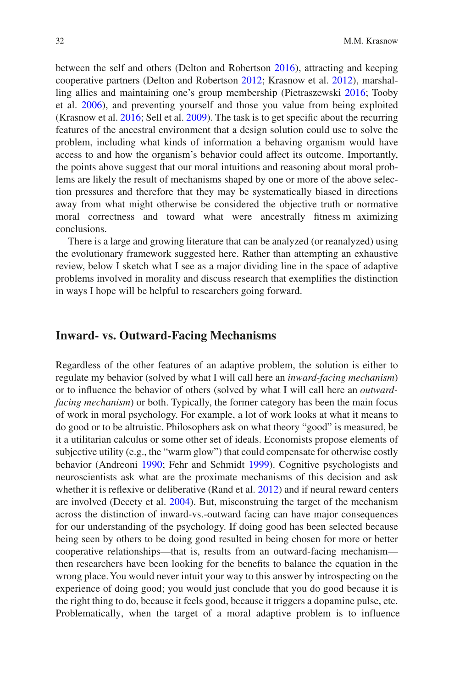between the self and others (Delton and Robertson 2016), attracting and keeping cooperative partners (Delton and Robertson 2012; Krasnow et al. 2012), marshalling allies and maintaining one's group membership (Pietraszewski 2016; Tooby et al. 2006), and preventing yourself and those you value from being exploited (Krasnow et al. 2016; Sell et al. 2009). The task is to get specifc about the recurring features of the ancestral environment that a design solution could use to solve the problem, including what kinds of information a behaving organism would have access to and how the organism's behavior could affect its outcome. Importantly, the points above suggest that our moral intuitions and reasoning about moral problems are likely the result of mechanisms shaped by one or more of the above selection pressures and therefore that they may be systematically biased in directions away from what might otherwise be considered the objective truth or normative moral correctness and toward what were ancestrally ftness m aximizing conclusions.

There is a large and growing literature that can be analyzed (or reanalyzed) using the evolutionary framework suggested here. Rather than attempting an exhaustive review, below I sketch what I see as a major dividing line in the space of adaptive problems involved in morality and discuss research that exemplifes the distinction in ways I hope will be helpful to researchers going forward.

## **Inward- vs. Outward-Facing Mechanisms**

Regardless of the other features of an adaptive problem, the solution is either to regulate my behavior (solved by what I will call here an *inward-facing mechanism*) or to infuence the behavior of others (solved by what I will call here an *outwardfacing mechanism*) or both. Typically, the former category has been the main focus of work in moral psychology. For example, a lot of work looks at what it means to do good or to be altruistic. Philosophers ask on what theory "good" is measured, be it a utilitarian calculus or some other set of ideals. Economists propose elements of subjective utility (e.g., the "warm glow") that could compensate for otherwise costly behavior (Andreoni 1990; Fehr and Schmidt 1999). Cognitive psychologists and neuroscientists ask what are the proximate mechanisms of this decision and ask whether it is refexive or deliberative (Rand et al. 2012) and if neural reward centers are involved (Decety et al. 2004). But, misconstruing the target of the mechanism across the distinction of inward-vs.-outward facing can have major consequences for our understanding of the psychology. If doing good has been selected because being seen by others to be doing good resulted in being chosen for more or better cooperative relationships—that is, results from an outward-facing mechanism then researchers have been looking for the benefts to balance the equation in the wrong place. You would never intuit your way to this answer by introspecting on the experience of doing good; you would just conclude that you do good because it is the right thing to do, because it feels good, because it triggers a dopamine pulse, etc. Problematically, when the target of a moral adaptive problem is to influence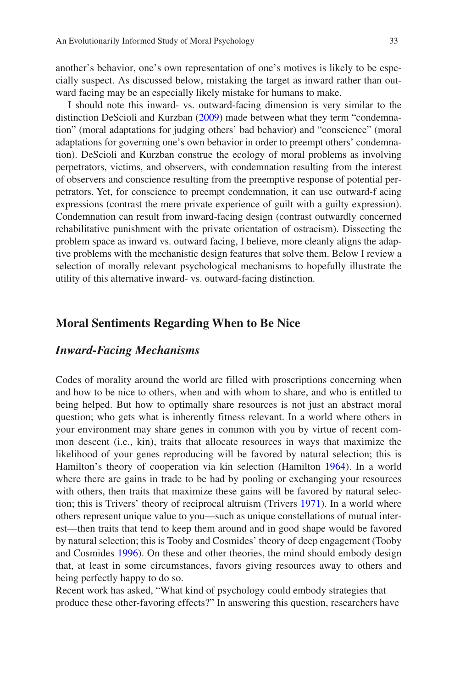another's behavior, one's own representation of one's motives is likely to be especially suspect. As discussed below, mistaking the target as inward rather than outward facing may be an especially likely mistake for humans to make.

I should note this inward- vs. outward-facing dimension is very similar to the distinction DeScioli and Kurzban (2009) made between what they term "condemnation" (moral adaptations for judging others' bad behavior) and "conscience" (moral adaptations for governing one's own behavior in order to preempt others' condemnation). DeScioli and Kurzban construe the ecology of moral problems as involving perpetrators, victims, and observers, with condemnation resulting from the interest of observers and conscience resulting from the preemptive response of potential perpetrators. Yet, for conscience to preempt condemnation, it can use outward-f acing expressions (contrast the mere private experience of guilt with a guilty expression). Condemnation can result from inward-facing design (contrast outwardly concerned rehabilitative punishment with the private orientation of ostracism). Dissecting the problem space as inward vs. outward facing, I believe, more cleanly aligns the adaptive problems with the mechanistic design features that solve them. Below I review a selection of morally relevant psychological mechanisms to hopefully illustrate the utility of this alternative inward- vs. outward-facing distinction.

### **Moral Sentiments Regarding When to Be Nice**

#### *Inward-Facing Mechanisms*

Codes of morality around the world are filled with proscriptions concerning when and how to be nice to others, when and with whom to share, and who is entitled to being helped. But how to optimally share resources is not just an abstract moral question; who gets what is inherently fitness relevant. In a world where others in your environment may share genes in common with you by virtue of recent common descent (i.e., kin), traits that allocate resources in ways that maximize the likelihood of your genes reproducing will be favored by natural selection; this is Hamilton's theory of cooperation via kin selection (Hamilton 1964). In a world where there are gains in trade to be had by pooling or exchanging your resources with others, then traits that maximize these gains will be favored by natural selection; this is Trivers' theory of reciprocal altruism (Trivers 1971). In a world where others represent unique value to you—such as unique constellations of mutual interest—then traits that tend to keep them around and in good shape would be favored by natural selection; this is Tooby and Cosmides' theory of deep engagement (Tooby and Cosmides 1996). On these and other theories, the mind should embody design that, at least in some circumstances, favors giving resources away to others and being perfectly happy to do so.

Recent work has asked, "What kind of psychology could embody strategies that produce these other-favoring effects?" In answering this question, researchers have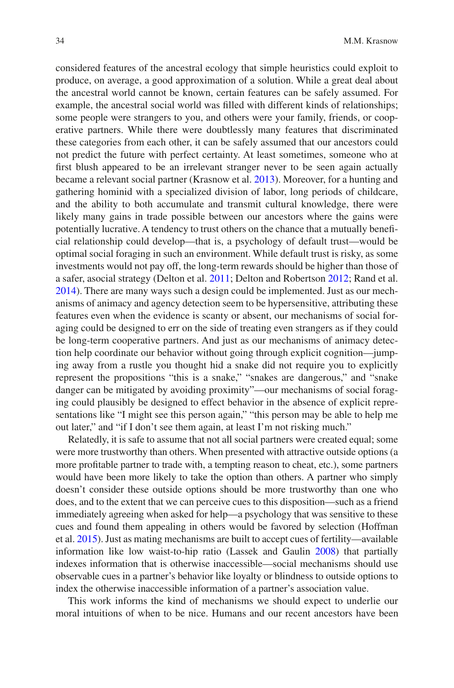considered features of the ancestral ecology that simple heuristics could exploit to produce, on average, a good approximation of a solution. While a great deal about the ancestral world cannot be known, certain features can be safely assumed. For example, the ancestral social world was flled with different kinds of relationships; some people were strangers to you, and others were your family, friends, or cooperative partners. While there were doubtlessly many features that discriminated these categories from each other, it can be safely assumed that our ancestors could not predict the future with perfect certainty. At least sometimes, someone who at frst blush appeared to be an irrelevant stranger never to be seen again actually became a relevant social partner (Krasnow et al. 2013). Moreover, for a hunting and gathering hominid with a specialized division of labor, long periods of childcare, and the ability to both accumulate and transmit cultural knowledge, there were likely many gains in trade possible between our ancestors where the gains were potentially lucrative. A tendency to trust others on the chance that a mutually benefcial relationship could develop—that is, a psychology of default trust—would be optimal social foraging in such an environment. While default trust is risky, as some investments would not pay off, the long-term rewards should be higher than those of a safer, asocial strategy (Delton et al. 2011; Delton and Robertson 2012; Rand et al. 2014). There are many ways such a design could be implemented. Just as our mechanisms of animacy and agency detection seem to be hypersensitive, attributing these features even when the evidence is scanty or absent, our mechanisms of social foraging could be designed to err on the side of treating even strangers as if they could be long-term cooperative partners. And just as our mechanisms of animacy detection help coordinate our behavior without going through explicit cognition—jumping away from a rustle you thought hid a snake did not require you to explicitly represent the propositions "this is a snake," "snakes are dangerous," and "snake danger can be mitigated by avoiding proximity"—our mechanisms of social foraging could plausibly be designed to effect behavior in the absence of explicit representations like "I might see this person again," "this person may be able to help me out later," and "if I don't see them again, at least I'm not risking much."

Relatedly, it is safe to assume that not all social partners were created equal; some were more trustworthy than others. When presented with attractive outside options (a more proftable partner to trade with, a tempting reason to cheat, etc.), some partners would have been more likely to take the option than others. A partner who simply doesn't consider these outside options should be more trustworthy than one who does, and to the extent that we can perceive cues to this disposition—such as a friend immediately agreeing when asked for help—a psychology that was sensitive to these cues and found them appealing in others would be favored by selection (Hoffman et al. 2015). Just as mating mechanisms are built to accept cues of fertility—available information like low waist-to-hip ratio (Lassek and Gaulin 2008) that partially indexes information that is otherwise inaccessible—social mechanisms should use observable cues in a partner's behavior like loyalty or blindness to outside options to index the otherwise inaccessible information of a partner's association value.

This work informs the kind of mechanisms we should expect to underlie our moral intuitions of when to be nice. Humans and our recent ancestors have been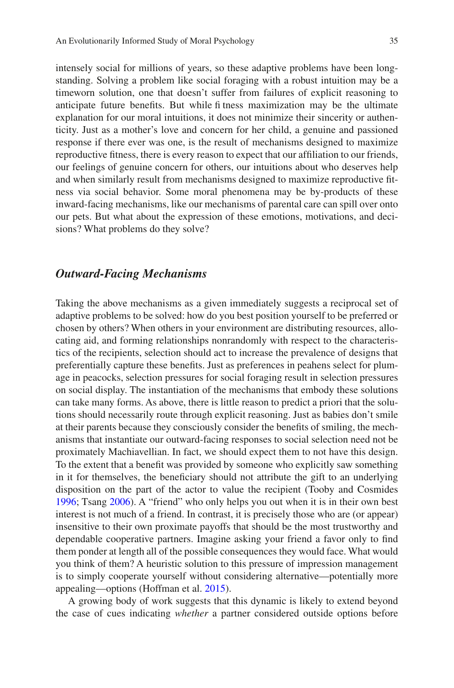intensely social for millions of years, so these adaptive problems have been longstanding. Solving a problem like social foraging with a robust intuition may be a timeworn solution, one that doesn't suffer from failures of explicit reasoning to anticipate future benefts. But while f tness maximization may be the ultimate explanation for our moral intuitions, it does not minimize their sincerity or authenticity. Just as a mother's love and concern for her child, a genuine and passioned response if there ever was one, is the result of mechanisms designed to maximize reproductive ftness, there is every reason to expect that our affliation to our friends, our feelings of genuine concern for others, our intuitions about who deserves help and when similarly result from mechanisms designed to maximize reproductive ftness via social behavior. Some moral phenomena may be by-products of these inward-facing mechanisms, like our mechanisms of parental care can spill over onto our pets. But what about the expression of these emotions, motivations, and decisions? What problems do they solve?

## *Outward-Facing Mechanisms*

Taking the above mechanisms as a given immediately suggests a reciprocal set of adaptive problems to be solved: how do you best position yourself to be preferred or chosen by others? When others in your environment are distributing resources, allocating aid, and forming relationships nonrandomly with respect to the characteristics of the recipients, selection should act to increase the prevalence of designs that preferentially capture these benefts. Just as preferences in peahens select for plumage in peacocks, selection pressures for social foraging result in selection pressures on social display. The instantiation of the mechanisms that embody these solutions can take many forms. As above, there is little reason to predict a priori that the solutions should necessarily route through explicit reasoning. Just as babies don't smile at their parents because they consciously consider the benefts of smiling, the mechanisms that instantiate our outward-facing responses to social selection need not be proximately Machiavellian. In fact, we should expect them to not have this design. To the extent that a beneft was provided by someone who explicitly saw something in it for themselves, the benefciary should not attribute the gift to an underlying disposition on the part of the actor to value the recipient (Tooby and Cosmides 1996; Tsang 2006). A "friend" who only helps you out when it is in their own best interest is not much of a friend. In contrast, it is precisely those who are (or appear) insensitive to their own proximate payoffs that should be the most trustworthy and dependable cooperative partners. Imagine asking your friend a favor only to fnd them ponder at length all of the possible consequences they would face. What would you think of them? A heuristic solution to this pressure of impression management is to simply cooperate yourself without considering alternative—potentially more appealing—options (Hoffman et al. 2015).

A growing body of work suggests that this dynamic is likely to extend beyond the case of cues indicating *whether* a partner considered outside options before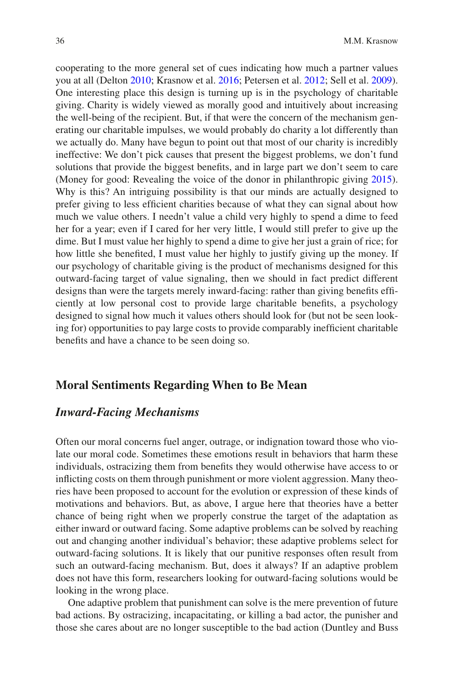cooperating to the more general set of cues indicating how much a partner values you at all (Delton 2010; Krasnow et al. 2016; Petersen et al. 2012; Sell et al. 2009). One interesting place this design is turning up is in the psychology of charitable giving. Charity is widely viewed as morally good and intuitively about increasing the well-being of the recipient. But, if that were the concern of the mechanism generating our charitable impulses, we would probably do charity a lot differently than we actually do. Many have begun to point out that most of our charity is incredibly ineffective: We don't pick causes that present the biggest problems, we don't fund solutions that provide the biggest benefts, and in large part we don't seem to care (Money for good: Revealing the voice of the donor in philanthropic giving 2015). Why is this? An intriguing possibility is that our minds are actually designed to prefer giving to less effcient charities because of what they can signal about how much we value others. I needn't value a child very highly to spend a dime to feed her for a year; even if I cared for her very little, I would still prefer to give up the dime. But I must value her highly to spend a dime to give her just a grain of rice; for how little she benefted, I must value her highly to justify giving up the money. If our psychology of charitable giving is the product of mechanisms designed for this outward-facing target of value signaling, then we should in fact predict different designs than were the targets merely inward-facing: rather than giving benefts effciently at low personal cost to provide large charitable benefts, a psychology designed to signal how much it values others should look for (but not be seen looking for) opportunities to pay large costs to provide comparably ineffcient charitable benefts and have a chance to be seen doing so.

## **Moral Sentiments Regarding When to Be Mean**

## *Inward-Facing Mechanisms*

Often our moral concerns fuel anger, outrage, or indignation toward those who violate our moral code. Sometimes these emotions result in behaviors that harm these individuals, ostracizing them from benefts they would otherwise have access to or inficting costs on them through punishment or more violent aggression. Many theories have been proposed to account for the evolution or expression of these kinds of motivations and behaviors. But, as above, I argue here that theories have a better chance of being right when we properly construe the target of the adaptation as either inward or outward facing. Some adaptive problems can be solved by reaching out and changing another individual's behavior; these adaptive problems select for outward-facing solutions. It is likely that our punitive responses often result from such an outward-facing mechanism. But, does it always? If an adaptive problem does not have this form, researchers looking for outward-facing solutions would be looking in the wrong place.

One adaptive problem that punishment can solve is the mere prevention of future bad actions. By ostracizing, incapacitating, or killing a bad actor, the punisher and those she cares about are no longer susceptible to the bad action (Duntley and Buss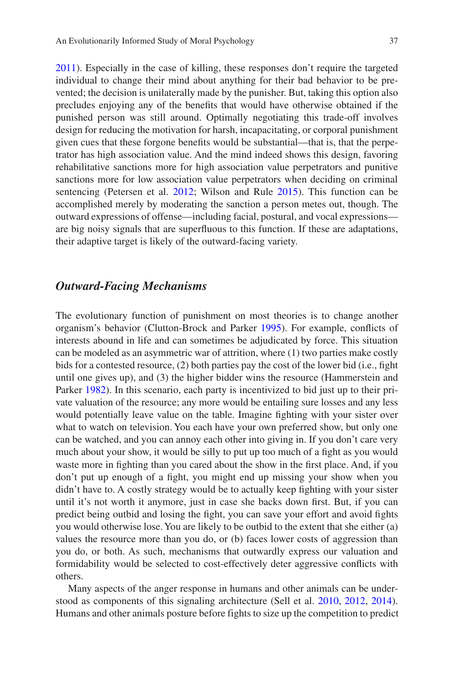2011). Especially in the case of killing, these responses don't require the targeted individual to change their mind about anything for their bad behavior to be prevented; the decision is unilaterally made by the punisher. But, taking this option also precludes enjoying any of the benefts that would have otherwise obtained if the punished person was still around. Optimally negotiating this trade-off involves design for reducing the motivation for harsh, incapacitating, or corporal punishment given cues that these forgone benefts would be substantial—that is, that the perpetrator has high association value. And the mind indeed shows this design, favoring rehabilitative sanctions more for high association value perpetrators and punitive sanctions more for low association value perpetrators when deciding on criminal sentencing (Petersen et al. 2012; Wilson and Rule 2015). This function can be accomplished merely by moderating the sanction a person metes out, though. The outward expressions of offense—including facial, postural, and vocal expressions are big noisy signals that are superfuous to this function. If these are adaptations, their adaptive target is likely of the outward-facing variety.

### *Outward-Facing Mechanisms*

The evolutionary function of punishment on most theories is to change another organism's behavior (Clutton-Brock and Parker 1995). For example, conficts of interests abound in life and can sometimes be adjudicated by force. This situation can be modeled as an asymmetric war of attrition, where (1) two parties make costly bids for a contested resource,  $(2)$  both parties pay the cost of the lower bid (i.e., fight until one gives up), and (3) the higher bidder wins the resource (Hammerstein and Parker 1982). In this scenario, each party is incentivized to bid just up to their private valuation of the resource; any more would be entailing sure losses and any less would potentially leave value on the table. Imagine fghting with your sister over what to watch on television. You each have your own preferred show, but only one can be watched, and you can annoy each other into giving in. If you don't care very much about your show, it would be silly to put up too much of a fght as you would waste more in fghting than you cared about the show in the frst place. And, if you don't put up enough of a fght, you might end up missing your show when you didn't have to. A costly strategy would be to actually keep fghting with your sister until it's not worth it anymore, just in case she backs down frst. But, if you can predict being outbid and losing the fght, you can save your effort and avoid fghts you would otherwise lose.You are likely to be outbid to the extent that she either (a) values the resource more than you do, or (b) faces lower costs of aggression than you do, or both. As such, mechanisms that outwardly express our valuation and formidability would be selected to cost-effectively deter aggressive conficts with others.

Many aspects of the anger response in humans and other animals can be understood as components of this signaling architecture (Sell et al. 2010, 2012, 2014). Humans and other animals posture before fights to size up the competition to predict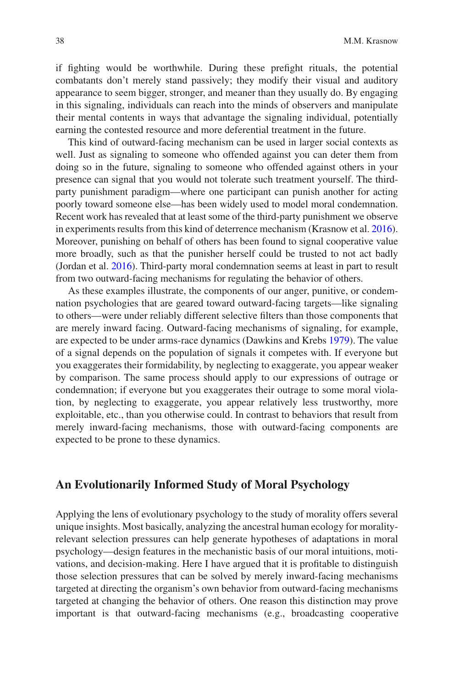if fghting would be worthwhile. During these prefght rituals, the potential combatants don't merely stand passively; they modify their visual and auditory appearance to seem bigger, stronger, and meaner than they usually do. By engaging in this signaling, individuals can reach into the minds of observers and manipulate their mental contents in ways that advantage the signaling individual, potentially earning the contested resource and more deferential treatment in the future.

This kind of outward-facing mechanism can be used in larger social contexts as well. Just as signaling to someone who offended against you can deter them from doing so in the future, signaling to someone who offended against others in your presence can signal that you would not tolerate such treatment yourself. The thirdparty punishment paradigm—where one participant can punish another for acting poorly toward someone else—has been widely used to model moral condemnation. Recent work has revealed that at least some of the third-party punishment we observe in experiments results from this kind of deterrence mechanism (Krasnow et al. 2016). Moreover, punishing on behalf of others has been found to signal cooperative value more broadly, such as that the punisher herself could be trusted to not act badly (Jordan et al. 2016). Third-party moral condemnation seems at least in part to result from two outward-facing mechanisms for regulating the behavior of others.

As these examples illustrate, the components of our anger, punitive, or condemnation psychologies that are geared toward outward-facing targets—like signaling to others—were under reliably different selective flters than those components that are merely inward facing. Outward-facing mechanisms of signaling, for example, are expected to be under arms-race dynamics (Dawkins and Krebs 1979). The value of a signal depends on the population of signals it competes with. If everyone but you exaggerates their formidability, by neglecting to exaggerate, you appear weaker by comparison. The same process should apply to our expressions of outrage or condemnation; if everyone but you exaggerates their outrage to some moral violation, by neglecting to exaggerate, you appear relatively less trustworthy, more exploitable, etc., than you otherwise could. In contrast to behaviors that result from merely inward-facing mechanisms, those with outward-facing components are expected to be prone to these dynamics.

# **An Evolutionarily Informed Study of Moral Psychology**

Applying the lens of evolutionary psychology to the study of morality offers several unique insights. Most basically, analyzing the ancestral human ecology for moralityrelevant selection pressures can help generate hypotheses of adaptations in moral psychology—design features in the mechanistic basis of our moral intuitions, motivations, and decision-making. Here I have argued that it is proftable to distinguish those selection pressures that can be solved by merely inward-facing mechanisms targeted at directing the organism's own behavior from outward-facing mechanisms targeted at changing the behavior of others. One reason this distinction may prove important is that outward-facing mechanisms (e.g., broadcasting cooperative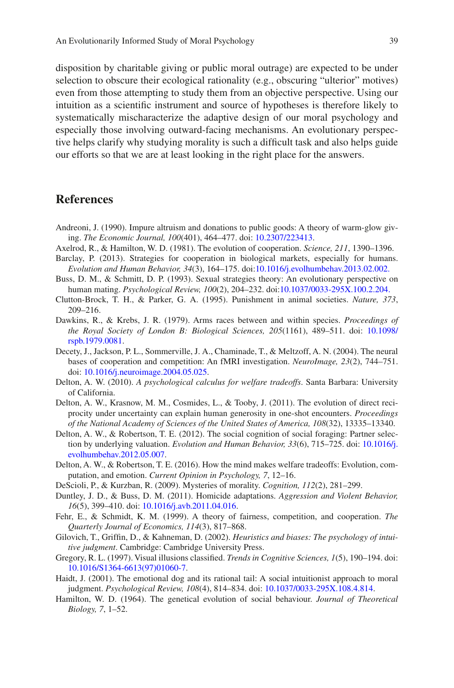disposition by charitable giving or public moral outrage) are expected to be under selection to obscure their ecological rationality (e.g., obscuring "ulterior" motives) even from those attempting to study them from an objective perspective. Using our intuition as a scientifc instrument and source of hypotheses is therefore likely to systematically mischaracterize the adaptive design of our moral psychology and especially those involving outward-facing mechanisms. An evolutionary perspective helps clarify why studying morality is such a diffcult task and also helps guide our efforts so that we are at least looking in the right place for the answers.

### **References**

- Andreoni, J. (1990). Impure altruism and donations to public goods: A theory of warm-glow giving. *The Economic Journal, 100*(401), 464–477. doi[: 10.2307/223413.](https://doi.org/10.2307/223413)
- Axelrod, R., & Hamilton, W. D. (1981). The evolution of cooperation. *Science, 211*, 1390–1396.
- Barclay, P. (2013). Strategies for cooperation in biological markets, especially for humans. *Evolution and Human Behavior, 34*(3), 164–175. doi[:10.1016/j.evolhumbehav.2013.02.002.](https://doi.org/10.1016/j.evolhumbehav.2013.02.002)
- Buss, D. M., & Schmitt, D. P. (1993). Sexual strategies theory: An evolutionary perspective on human mating. *Psychological Review, 100*(2), 204–232. doi[:10.1037/0033-295X.100.2.204.](https://doi.org/10.1037/0033-295X.100.2.204)
- Clutton-Brock, T. H., & Parker, G. A. (1995). Punishment in animal societies. *Nature, 373*, 209–216.
- Dawkins, R., & Krebs, J. R. (1979). Arms races between and within species. *Proceedings of the Royal Society of London B: Biological Sciences, 205*(1161), 489–511. doi[: 10.1098/](https://doi.org/10.1098/rspb.1979.0081) [rspb.1979.0081](https://doi.org/10.1098/rspb.1979.0081).
- Decety, J., Jackson, P. L., Sommerville, J. A., Chaminade, T., & Meltzoff, A. N. (2004). The neural bases of cooperation and competition: An fMRI investigation. *NeuroImage, 23*(2), 744–751. doi[: 10.1016/j.neuroimage.2004.05.025](https://doi.org/10.1016/j.neuroimage.2004.05.025).
- Delton, A. W. (2010). *A psychological calculus for welfare tradeoffs*. Santa Barbara: University of California.
- Delton, A. W., Krasnow, M. M., Cosmides, L., & Tooby, J. (2011). The evolution of direct reciprocity under uncertainty can explain human generosity in one-shot encounters. *Proceedings of the National Academy of Sciences of the United States of America, 108*(32), 13335–13340.
- Delton, A. W., & Robertson, T. E. (2012). The social cognition of social foraging: Partner selection by underlying valuation. *Evolution and Human Behavior, 33*(6), 715–725. doi: [10.1016/j.](https://doi.org/10.1016/j.evolhumbehav.2012.05.007) [evolhumbehav.2012.05.007](https://doi.org/10.1016/j.evolhumbehav.2012.05.007).
- Delton, A. W., & Robertson, T. E. (2016). How the mind makes welfare tradeoffs: Evolution, computation, and emotion. *Current Opinion in Psychology, 7*, 12–16.
- DeScioli, P., & Kurzban, R. (2009). Mysteries of morality. *Cognition, 112*(2), 281–299.
- Duntley, J. D., & Buss, D. M. (2011). Homicide adaptations. *Aggression and Violent Behavior, 16*(5), 399–410. doi: [10.1016/j.avb.2011.04.016.](https://doi.org/10.1016/j.avb.2011.04.016)
- Fehr, E., & Schmidt, K. M. (1999). A theory of fairness, competition, and cooperation. *The Quarterly Journal of Economics, 114*(3), 817–868.
- Gilovich, T., Griffn, D., & Kahneman, D. (2002). *Heuristics and biases: The psychology of intuitive judgment*. Cambridge: Cambridge University Press.
- Gregory, R. L. (1997). Visual illusions classifed. *Trends in Cognitive Sciences, 1*(5), 190–194. doi: [10.1016/S1364-6613\(97\)01060-7.](https://doi.org/10.1016/S1364-6613(97)01060-7)
- Haidt, J. (2001). The emotional dog and its rational tail: A social intuitionist approach to moral judgment. *Psychological Review, 108*(4), 814–834. doi[: 10.1037/0033-295X.108.4.814](https://doi.org/10.1037/0033-295X.108.4.814).
- Hamilton, W. D. (1964). The genetical evolution of social behaviour. *Journal of Theoretical Biology, 7*, 1–52.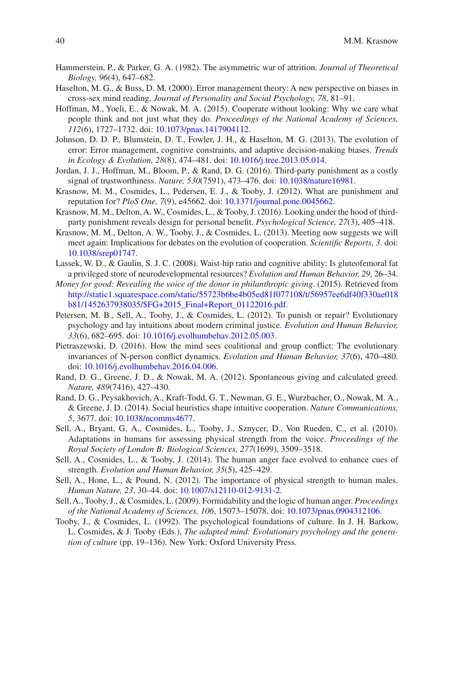- Hammerstein, P., & Parker, G. A. (1982). The asymmetric war of attrition. *Journal of Theoretical Biology, 96*(4), 647–682.
- Haselton, M. G., & Buss, D. M. (2000). Error management theory: A new perspective on biases in cross-sex mind reading. *Journal of Personality and Social Psychology, 78*, 81–91.
- Hoffman, M., Yoeli, E., & Nowak, M. A. (2015). Cooperate without looking: Why we care what people think and not just what they do. *Proceedings of the National Academy of Sciences, 112*(6), 1727–1732. doi[: 10.1073/pnas.1417904112.](https://doi.org/10.1073/pnas.1417904112)
- Johnson, D. D. P., Blumstein, D. T., Fowler, J. H., & Haselton, M. G. (2013). The evolution of error: Error management, cognitive constraints, and adaptive decision-making biases. *Trends in Ecology & Evolution, 28*(8), 474–481. doi[: 10.1016/j.tree.2013.05.014](https://doi.org/10.1016/j.tree.2013.05.014).
- Jordan, J. J., Hoffman, M., Bloom, P., & Rand, D. G. (2016). Third-party punishment as a costly signal of trustworthiness. *Nature, 530*(7591), 473–476. doi: [10.1038/nature16981.](https://doi.org/10.1038/nature16981)
- Krasnow, M. M., Cosmides, L., Pedersen, E. J., & Tooby, J. (2012). What are punishment and reputation for? *PloS One, 7*(9), e45662. doi: [10.1371/journal.pone.0045662](https://doi.org/10.1371/journal.pone.0045662).
- Krasnow, M. M., Delton, A. W., Cosmides, L., & Tooby, J. (2016). Looking under the hood of thirdparty punishment reveals design for personal beneft. *Psychological Science, 27*(3), 405–418.
- Krasnow, M. M., Delton, A. W., Tooby, J., & Cosmides, L. (2013). Meeting now suggests we will meet again: Implications for debates on the evolution of cooperation. *Scientifc Reports, 3*. doi: [10.1038/srep01747](https://doi.org/10.1038/srep01747).
- Lassek, W. D., & Gaulin, S. J. C. (2008). Waist-hip ratio and cognitive ability: Is gluteofemoral fat a privileged store of neurodevelopmental resources? *Evolution and Human Behavior, 29*, 26–34.
- *Money for good: Revealing the voice of the donor in philanthropic giving*. (2015). Retrieved from [http://static1.squarespace.com/static/55723b6be4b05ed81f077108/t/56957ee6df40f330ae018](http://static1.squarespace.com/static/55723b6be4b05ed81f077108/t/56957ee6df40f330ae018b81/1452637938035/$FG+2015_Final+Report_01122016.pdf) [b81/1452637938035/\\$FG+2015\\_Final+Report\\_01122016.pdf.](http://static1.squarespace.com/static/55723b6be4b05ed81f077108/t/56957ee6df40f330ae018b81/1452637938035/$FG+2015_Final+Report_01122016.pdf)
- Petersen, M. B., Sell, A., Tooby, J., & Cosmides, L. (2012). To punish or repair? Evolutionary psychology and lay intuitions about modern criminal justice. *Evolution and Human Behavior, 33*(6), 682–695. doi: [10.1016/j.evolhumbehav.2012.05.003.](https://doi.org/10.1016/j.evolhumbehav.2012.05.003)
- Pietraszewski, D. (2016). How the mind sees coalitional and group confict: The evolutionary invariances of N-person confict dynamics. *Evolution and Human Behavior, 37*(6), 470–480. doi[: 10.1016/j.evolhumbehav.2016.04.006](https://doi.org/10.1016/j.evolhumbehav.2016.04.006).
- Rand, D. G., Greene, J. D., & Nowak, M. A. (2012). Spontaneous giving and calculated greed. *Nature, 489*(7416), 427–430.
- Rand, D. G., Peysakhovich, A., Kraft-Todd, G. T., Newman, G. E., Wurzbacher, O., Nowak, M. A., & Greene, J. D. (2014). Social heuristics shape intuitive cooperation. *Nature Communications, 5*, 3677. doi: [10.1038/ncomms4677.](https://doi.org/10.1038/ncomms4677)
- Sell, A., Bryant, G. A., Cosmides, L., Tooby, J., Sznycer, D., Von Rueden, C., et al. (2010). Adaptations in humans for assessing physical strength from the voice. *Proceedings of the Royal Society of London B: Biological Sciences, 277*(1699), 3509–3518.
- Sell, A., Cosmides, L., & Tooby, J. (2014). The human anger face evolved to enhance cues of strength. *Evolution and Human Behavior, 35*(5), 425–429.
- Sell, A., Hone, L., & Pound, N. (2012). The importance of physical strength to human males. *Human Nature, 23*, 30–44. doi: [10.1007/s12110-012-9131-2](https://doi.org/10.1007/s12110-012-9131-2).
- Sell, A., Tooby, J., & Cosmides, L. (2009). Formidability and the logic of human anger. *Proceedings of the National Academy of Sciences, 106*, 15073–15078. doi: [10.1073/pnas.0904312106.](https://doi.org/10.1073/pnas.0904312106)
- Tooby, J., & Cosmides, L. (1992). The psychological foundations of culture. In J. H. Barkow, L. Cosmides, & J. Tooby (Eds.), *The adapted mind: Evolutionary psychology and the generation of culture* (pp. 19–136). New York: Oxford University Press.